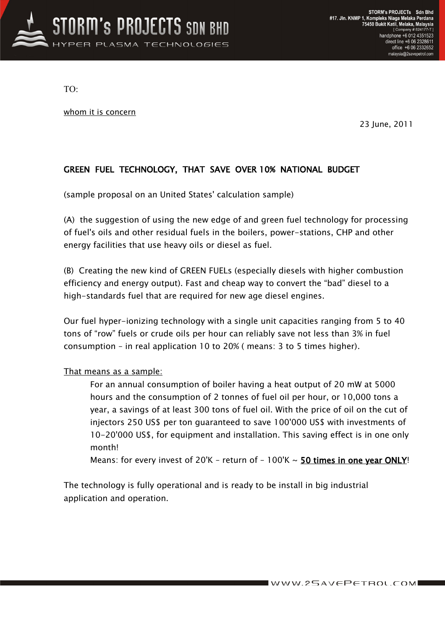

TO:

whom it is concern

23 June, 2011

## GREEN FUEL TECHNOLOGY, THAT SAVE OVER 10% NATIONAL BUDGET

(sample proposal on an United States' calculation sample)

(A) the suggestion of using the new edge of and green fuel technology for processing of fuel's oils and other residual fuels in the boilers, power-stations, CHP and other energy facilities that use heavy oils or diesel as fuel.

(B) Creating the new kind of GREEN FUELs (especially diesels with higher combustion efficiency and energy output). Fast and cheap way to convert the "bad" diesel to a high-standards fuel that are required for new age diesel engines.

Our fuel hyper-ionizing technology with a single unit capacities ranging from 5 to 40 tons of "row" fuels or crude oils per hour can reliably save not less than 3% in fuel consumption – in real application 10 to 20% ( means: 3 to 5 times higher).

## That means as a sample:

For an annual consumption of boiler having a heat output of 20 mW at 5000 hours and the consumption of 2 tonnes of fuel oil per hour, or 10,000 tons a year, a savings of at least 300 tons of fuel oil. With the price of oil on the cut of injectors 250 US\$ per ton guaranteed to save 100'000 US\$ with investments of 10-20'000 US\$, for equipment and installation. This saving effect is in one only month!

Means: for every invest of 20K - return of  $-100\text{K} \sim 50$  times in one year ONLY!

The technology is fully operational and is ready to be install in big industrial application and operation.